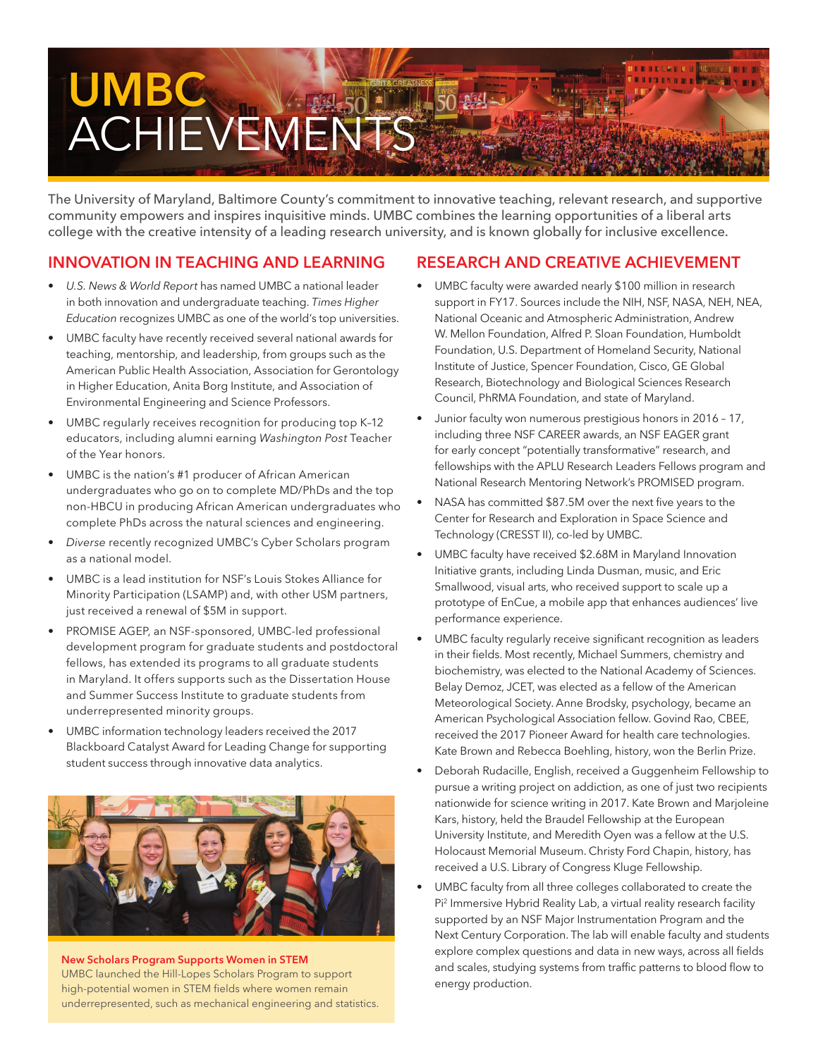# **BESSEX B UMBC** ACHIEVEMENTS

The University of Maryland, Baltimore County's commitment to innovative teaching, relevant research, and supportive community empowers and inspires inquisitive minds. UMBC combines the learning opportunities of a liberal arts college with the creative intensity of a leading research university, and is known globally for inclusive excellence.

## **INNOVATION IN TEACHING AND LEARNING**

- *U.S. News & World Report* has named UMBC a national leader in both innovation and undergraduate teaching. *Times Higher Education* recognizes UMBC as one of the world's top universities.
- UMBC faculty have recently received several national awards for teaching, mentorship, and leadership, from groups such as the American Public Health Association, Association for Gerontology in Higher Education, Anita Borg Institute, and Association of Environmental Engineering and Science Professors.
- UMBC regularly receives recognition for producing top K-12 educators, including alumni earning *Washington Post* Teacher of the Year honors.
- UMBC is the nation's #1 producer of African American undergraduates who go on to complete MD/PhDs and the top non-HBCU in producing African American undergraduates who complete PhDs across the natural sciences and engineering.
- *Diverse* recently recognized UMBC's Cyber Scholars program as a national model.
- UMBC is a lead institution for NSF's Louis Stokes Alliance for Minority Participation (LSAMP) and, with other USM partners, just received a renewal of \$5M in support.
- PROMISE AGEP, an NSF-sponsored, UMBC-led professional development program for graduate students and postdoctoral fellows, has extended its programs to all graduate students in Maryland. It offers supports such as the Dissertation House and Summer Success Institute to graduate students from underrepresented minority groups.
- UMBC information technology leaders received the 2017 Blackboard Catalyst Award for Leading Change for supporting student success through innovative data analytics.



**New Scholars Program Supports Women in STEM** UMBC launched the Hill-Lopes Scholars Program to support high-potential women in STEM fields where women remain underrepresented, such as mechanical engineering and statistics.

### **RESEARCH AND CREATIVE ACHIEVEMENT**

- UMBC faculty were awarded nearly \$100 million in research support in FY17. Sources include the NIH, NSF, NASA, NEH, NEA, National Oceanic and Atmospheric Administration, Andrew W. Mellon Foundation, Alfred P. Sloan Foundation, Humboldt Foundation, U.S. Department of Homeland Security, National Institute of Justice, Spencer Foundation, Cisco, GE Global Research, Biotechnology and Biological Sciences Research Council, PhRMA Foundation, and state of Maryland.
- Junior faculty won numerous prestigious honors in 2016 17, including three NSF CAREER awards, an NSF EAGER grant for early concept "potentially transformative" research, and fellowships with the APLU Research Leaders Fellows program and National Research Mentoring Network's PROMISED program.
- NASA has committed \$87.5M over the next five years to the Center for Research and Exploration in Space Science and Technology (CRESST II), co-led by UMBC.
- UMBC faculty have received \$2.68M in Maryland Innovation Initiative grants, including Linda Dusman, music, and Eric Smallwood, visual arts, who received support to scale up a prototype of EnCue, a mobile app that enhances audiences' live performance experience.
- UMBC faculty regularly receive significant recognition as leaders in their fields. Most recently, Michael Summers, chemistry and biochemistry, was elected to the National Academy of Sciences. Belay Demoz, JCET, was elected as a fellow of the American Meteorological Society. Anne Brodsky, psychology, became an American Psychological Association fellow. Govind Rao, CBEE, received the 2017 Pioneer Award for health care technologies. Kate Brown and Rebecca Boehling, history, won the Berlin Prize.
- Deborah Rudacille, English, received a Guggenheim Fellowship to pursue a writing project on addiction, as one of just two recipients nationwide for science writing in 2017. Kate Brown and Marjoleine Kars, history, held the Braudel Fellowship at the European University Institute, and Meredith Oyen was a fellow at the U.S. Holocaust Memorial Museum. Christy Ford Chapin, history, has received a U.S. Library of Congress Kluge Fellowship.
- UMBC faculty from all three colleges collaborated to create the Pi2 Immersive Hybrid Reality Lab, a virtual reality research facility supported by an NSF Major Instrumentation Program and the Next Century Corporation. The lab will enable faculty and students explore complex questions and data in new ways, across all fields and scales, studying systems from traffic patterns to blood flow to energy production.